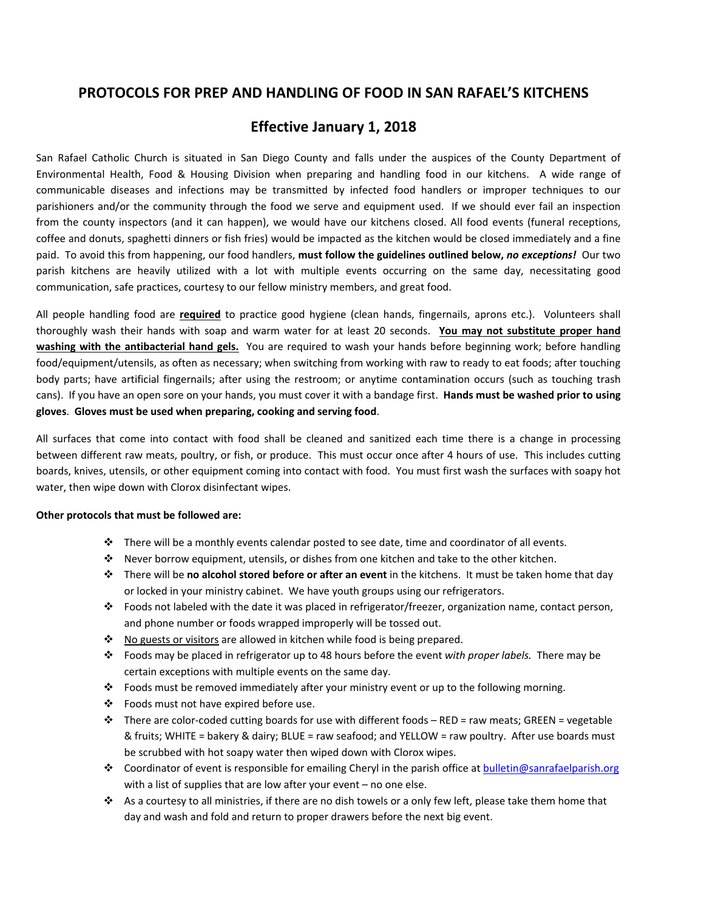## **PROTOCOLS FOR PREP AND HANDLING OF FOOD IN SAN RAFAEL'S KITCHENS**

## **Effective January 1, 2018**

San Rafael Catholic Church is situated in San Diego County and falls under the auspices of the County Department of Environmental Health, Food & Housing Division when preparing and handling food in our kitchens. A wide range of communicable diseases and infections may be transmitted by infected food handlers or improper techniques to our parishioners and/or the community through the food we serve and equipment used. If we should ever fail an inspection from the county inspectors (and it can happen), we would have our kitchens closed. All food events (funeral receptions, coffee and donuts, spaghetti dinners or fish fries) would be impacted as the kitchen would be closed immediately and a fine paid. To avoid this from happening, our food handlers, **must follow the guidelines outlined below,** *no exceptions!* Our two parish kitchens are heavily utilized with a lot with multiple events occurring on the same day, necessitating good communication, safe practices, courtesy to our fellow ministry members, and great food.

All people handling food are **required** to practice good hygiene (clean hands, fingernails, aprons etc.). Volunteers shall thoroughly wash their hands with soap and warm water for at least 20 seconds. **You may not substitute proper hand washing with the antibacterial hand gels.** You are required to wash your hands before beginning work; before handling food/equipment/utensils, as often as necessary; when switching from working with raw to ready to eat foods; after touching body parts; have artificial fingernails; after using the restroom; or anytime contamination occurs (such as touching trash cans). If you have an open sore on your hands, you must cover it with a bandage first. **Hands must be washed prior to using gloves**. **Gloves must be used when preparing, cooking and serving food**.

All surfaces that come into contact with food shall be cleaned and sanitized each time there is a change in processing between different raw meats, poultry, or fish, or produce. This must occur once after 4 hours of use. This includes cutting boards, knives, utensils, or other equipment coming into contact with food. You must first wash the surfaces with soapy hot water, then wipe down with Clorox disinfectant wipes.

## **Other protocols that must be followed are:**

- There will be a monthly events calendar posted to see date, time and coordinator of all events.
- Never borrow equipment, utensils, or dishes from one kitchen and take to the other kitchen.
- There will be **no alcohol stored before or after an event** in the kitchens. It must be taken home that day or locked in your ministry cabinet. We have youth groups using our refrigerators.
- \* Foods not labeled with the date it was placed in refrigerator/freezer, organization name, contact person, and phone number or foods wrapped improperly will be tossed out.
- \* No guests or visitors are allowed in kitchen while food is being prepared.
- Foods may be placed in refrigerator up to 48 hours before the event *with proper labels.* There may be certain exceptions with multiple events on the same day.
- Foods must be removed immediately after your ministry event or up to the following morning.
- Foods must not have expired before use.
- There are color‐coded cutting boards for use with different foods RED = raw meats; GREEN = vegetable & fruits; WHITE = bakery & dairy; BLUE = raw seafood; and YELLOW = raw poultry. After use boards must be scrubbed with hot soapy water then wiped down with Clorox wipes.
- ◆ Coordinator of event is responsible for emailing Cheryl in the parish office at bulletin@sanrafaelparish.org with a list of supplies that are low after your event – no one else.
- $\clubsuit$  As a courtesy to all ministries, if there are no dish towels or a only few left, please take them home that day and wash and fold and return to proper drawers before the next big event.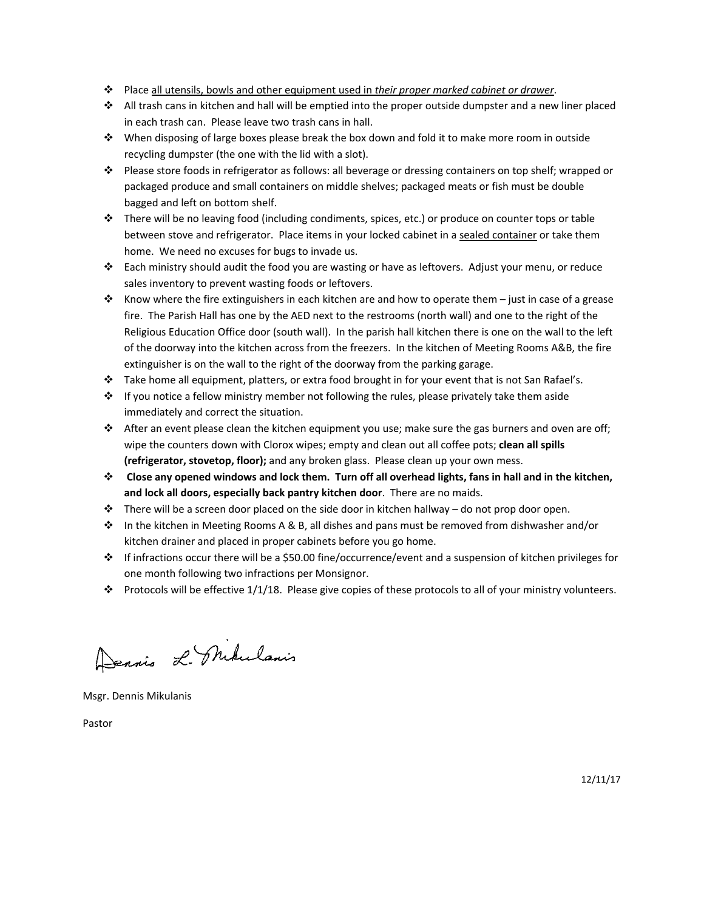- Place all utensils, bowls and other equipment used in *their proper marked cabinet or drawer*.
- $\bullet$  All trash cans in kitchen and hall will be emptied into the proper outside dumpster and a new liner placed in each trash can. Please leave two trash cans in hall.
- When disposing of large boxes please break the box down and fold it to make more room in outside recycling dumpster (the one with the lid with a slot).
- Please store foods in refrigerator as follows: all beverage or dressing containers on top shelf; wrapped or packaged produce and small containers on middle shelves; packaged meats or fish must be double bagged and left on bottom shelf.
- $\cdot \cdot$  There will be no leaving food (including condiments, spices, etc.) or produce on counter tops or table between stove and refrigerator. Place items in your locked cabinet in a sealed container or take them home. We need no excuses for bugs to invade us.
- Each ministry should audit the food you are wasting or have as leftovers. Adjust your menu, or reduce sales inventory to prevent wasting foods or leftovers.
- Know where the fire extinguishers in each kitchen are and how to operate them just in case of a grease fire. The Parish Hall has one by the AED next to the restrooms (north wall) and one to the right of the Religious Education Office door (south wall). In the parish hall kitchen there is one on the wall to the left of the doorway into the kitchen across from the freezers. In the kitchen of Meeting Rooms A&B, the fire extinguisher is on the wall to the right of the doorway from the parking garage.
- \* Take home all equipment, platters, or extra food brought in for your event that is not San Rafael's.
- $\div$  If you notice a fellow ministry member not following the rules, please privately take them aside immediately and correct the situation.
- After an event please clean the kitchen equipment you use; make sure the gas burners and oven are off; wipe the counters down with Clorox wipes; empty and clean out all coffee pots; **clean all spills (refrigerator, stovetop, floor);** and any broken glass. Please clean up your own mess.
- $\div$  Close any opened windows and lock them. Turn off all overhead lights, fans in hall and in the kitchen, **and lock all doors, especially back pantry kitchen door**. There are no maids.
- $\div$  There will be a screen door placed on the side door in kitchen hallway do not prop door open.
- $\cdot \cdot$  In the kitchen in Meeting Rooms A & B, all dishes and pans must be removed from dishwasher and/or kitchen drainer and placed in proper cabinets before you go home.
- If infractions occur there will be a \$50.00 fine/occurrence/event and a suspension of kitchen privileges for one month following two infractions per Monsignor.
- Protocols will be effective  $1/1/18$ . Please give copies of these protocols to all of your ministry volunteers.

Dennis L. Mikulanis

Msgr. Dennis Mikulanis

Pastor